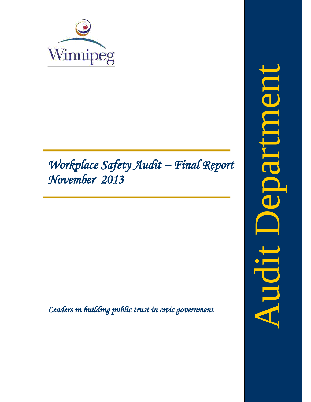

# *Workplace Safety Audit – Final Report November 2013*

<span id="page-0-0"></span>*Leaders in building public trust in civic government*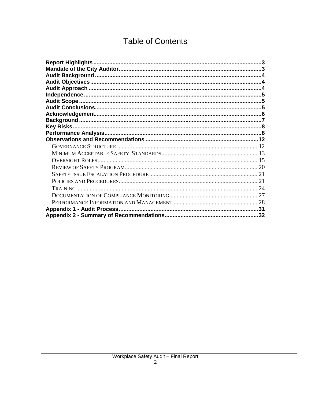# **Table of Contents**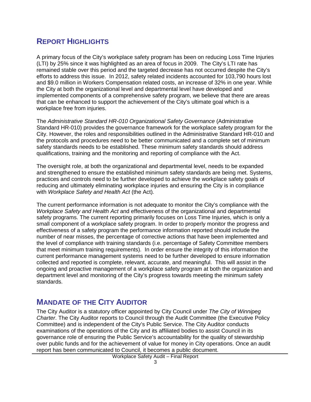# <span id="page-3-0"></span>**REPORT HIGHLIGHTS**

A primary focus of the City's workplace safety program has been on reducing Loss Time Injuries (LTI) by 25% since it was highlighted as an area of focus in 2009. The City's LTI rate has remained stable over this period and the targeted decrease has not occurred despite the City's efforts to address this issue. In 2012, safety related incidents accounted for 103,790 hours lost and \$9.0 million in Workers Compensation related costs, an increase of 32% in one year. While the City at both the organizational level and departmental level have developed and implemented components of a comprehensive safety program, we believe that there are areas that can be enhanced to support the achievement of the City's ultimate goal which is a workplace free from injuries.

The *Administrative Standard HR-010 Organizational Safety Governance* (Administrative Standard HR-010) provides the governance framework for the workplace safety program for the City. However, the roles and responsibilities outlined in the Administrative Standard HR-010 and the protocols and procedures need to be better communicated and a complete set of minimum safety standards needs to be established. These minimum safety standards should address qualifications, training and the monitoring and reporting of compliance with the Act.

The oversight role, at both the organizational and departmental level, needs to be expanded and strengthened to ensure the established minimum safety standards are being met. Systems, practices and controls need to be further developed to achieve the workplace safety goals of reducing and ultimately eliminating workplace injuries and ensuring the City is in compliance with *Workplace Safety and Health Act* (the Act)*.*

The current performance information is not adequate to monitor the City's compliance with the *Workplace Safety and Health Act* and effectiveness of the organizational and departmental safety programs. The current reporting primarily focuses on Loss Time Injuries, which is only a small component of a workplace safety program. In order to properly monitor the progress and effectiveness of a safety program the performance information reported should include the number of near misses, the percentage of corrective actions that have been implemented and the level of compliance with training standards (i.e. percentage of Safety Committee members that meet minimum training requirements). In order ensure the integrity of this information the current performance management systems need to be further developed to ensure information collected and reported is complete, relevant, accurate, and meaningful. This will assist in the ongoing and proactive management of a workplace safety program at both the organization and department level and monitoring of the City's progress towards meeting the minimum safety standards.

### <span id="page-3-1"></span>**MANDATE OF THE CITY AUDITOR**

The City Auditor is a statutory officer appointed by City Council under *The City of Winnipeg Charter*. The City Auditor reports to Council through the Audit Committee (the Executive Policy Committee) and is independent of the City's Public Service. The City Auditor conducts examinations of the operations of the City and its affiliated bodies to assist Council in its governance role of ensuring the Public Service's accountability for the quality of stewardship over public funds and for the achievement of value for money in City operations. Once an audit report has been communicated to Council, it becomes a public document.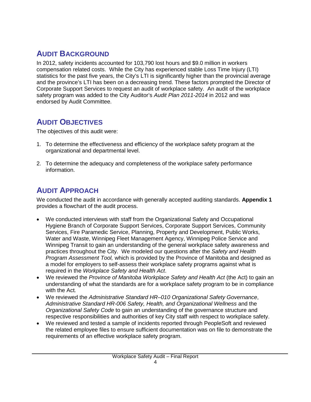# <span id="page-4-0"></span>**AUDIT BACKGROUND**

In 2012, safety incidents accounted for 103,790 lost hours and \$9.0 million in workers compensation related costs. While the City has experienced stable Loss Time Injury (LTI) statistics for the past five years, the City's LTI is significantly higher than the provincial average and the province's LTI has been on a decreasing trend. These factors prompted the Director of Corporate Support Services to request an audit of workplace safety. An audit of the workplace safety program was added to the City Auditor's *Audit Plan 2011-2014* in 2012 and was endorsed by Audit Committee.

# <span id="page-4-1"></span>**AUDIT OBJECTIVES**

The objectives of this audit were:

- 1. To determine the effectiveness and efficiency of the workplace safety program at the organizational and departmental level.
- 2. To determine the adequacy and completeness of the workplace safety performance information.

# <span id="page-4-2"></span>**AUDIT APPROACH**

We conducted the audit in accordance with generally accepted auditing standards. **Appendix 1** provides a flowchart of the audit process.

- We conducted interviews with staff from the Organizational Safety and Occupational Hygiene Branch of Corporate Support Services, Corporate Support Services, Community Services, Fire Paramedic Service, Planning, Property and Development, Public Works, Water and Waste, Winnipeg Fleet Management Agency, Winnipeg Police Service and Winnipeg Transit to gain an understanding of the general workplace safety awareness and practices throughout the City. We modeled our questions after the *Safety and Health Program Assessment Tool,* which is provided by the Province of Manitoba and designed as a model for employers to self-assess their workplace safety programs against what is required in the *Workplace Safety and Health Act*.
- We reviewed the *Province of Manitoba Workplace Safety and Health Act* (the Act) to gain an understanding of what the standards are for a workplace safety program to be in compliance with the Act*.*
- We reviewed the *Administrative Standard HR–010 Organizational Safety Governance*, *Administrative Standard HR-006 Safety, Health, and Organizational Wellness* and the *Organizational Safety Code* to gain an understanding of the governance structure and respective responsibilities and authorities of key City staff with respect to workplace safety.
- We reviewed and tested a sample of incidents reported through PeopleSoft and reviewed the related employee files to ensure sufficient documentation was on file to demonstrate the requirements of an effective workplace safety program.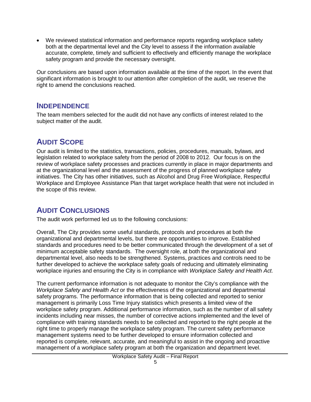• We reviewed statistical information and performance reports regarding workplace safety both at the departmental level and the City level to assess if the information available accurate, complete, timely and sufficient to effectively and efficiently manage the workplace safety program and provide the necessary oversight.

Our conclusions are based upon information available at the time of the report. In the event that significant information is brought to our attention after completion of the audit, we reserve the right to amend the conclusions reached.

### <span id="page-5-0"></span>**INDEPENDENCE**

The team members selected for the audit did not have any conflicts of interest related to the subject matter of the audit.

# <span id="page-5-1"></span>**AUDIT SCOPE**

Our audit is limited to the statistics, transactions, policies, procedures, manuals, bylaws, and legislation related to workplace safety from the period of 2008 to 2012. Our focus is on the review of workplace safety processes and practices currently in place in major departments and at the organizational level and the assessment of the progress of planned workplace safety initiatives. The City has other initiatives, such as Alcohol and Drug Free Workplace, Respectful Workplace and Employee Assistance Plan that target workplace health that were not included in the scope of this review.

# <span id="page-5-2"></span>**AUDIT CONCLUSIONS**

The audit work performed led us to the following conclusions:

Overall, The City provides some useful standards, protocols and procedures at both the organizational and departmental levels, but there are opportunities to improve. Established standards and procedures need to be better communicated through the development of a set of minimum acceptable safety standards. The oversight role, at both the organizational and departmental level, also needs to be strengthened. Systems, practices and controls need to be further developed to achieve the workplace safety goals of reducing and ultimately eliminating workplace injuries and ensuring the City is in compliance with *Workplace Safety and Health Act.*

The current performance information is not adequate to monitor the City's compliance with the *Workplace Safety and Health Act* or the effectiveness of the organizational and departmental safety programs. The performance information that is being collected and reported to senior management is primarily Loss Time Injury statistics which presents a limited view of the workplace safety program. Additional performance information, such as the number of all safety incidents including near misses, the number of corrective actions implemented and the level of compliance with training standards needs to be collected and reported to the right people at the right time to properly manage the workplace safety program. The current safety performance management systems need to be further developed to ensure information collected and reported is complete, relevant, accurate, and meaningful to assist in the ongoing and proactive management of a workplace safety program at both the organization and department level.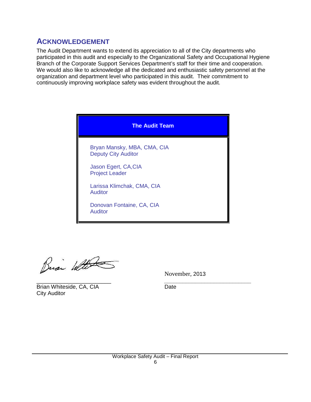# <span id="page-6-0"></span>**ACKNOWLEDGEMENT**

The Audit Department wants to extend its appreciation to all of the City departments who participated in this audit and especially to the Organizational Safety and Occupational Hygiene Branch of the Corporate Support Services Department's staff for their time and cooperation. We would also like to acknowledge all the dedicated and enthusiastic safety personnel at the organization and department level who participated in this audit. Their commitment to continuously improving workplace safety was evident throughout the audit.

| <b>The Audit Team</b>                                     |
|-----------------------------------------------------------|
| Bryan Mansky, MBA, CMA, CIA<br><b>Deputy City Auditor</b> |
| Jason Egert, CA, CIA<br><b>Project Leader</b>             |
| Larissa Klimchak, CMA, CIA<br><b>Auditor</b>              |
| Donovan Fontaine, CA, CIA<br><b>Auditor</b>               |

Busi With

November, 2013

Brian Whiteside, CA, CIA Date City Auditor

\_\_\_\_\_\_\_\_\_\_\_\_\_\_\_\_\_\_\_\_\_\_\_\_ *\_\_\_\_\_\_\_\_\_\_\_\_\_\_\_\_\_\_\_\_\_\_\_\_\_\_\_\_*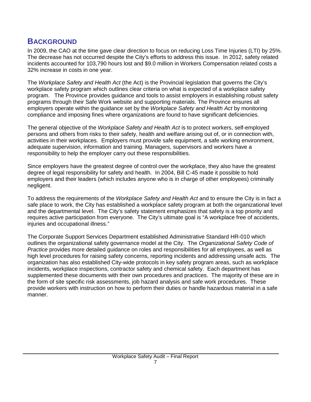# <span id="page-7-0"></span>**BACKGROUND**

In 2009, the CAO at the time gave clear direction to focus on reducing Loss Time Injuries (LTI) by 25%. The decrease has not occurred despite the City's efforts to address this issue. In 2012, safety related incidents accounted for 103,790 hours lost and \$9.0 million in Workers Compensation related costs a 32% increase in costs in one year.

The *Workplace Safety and Health Act* (the Act) is the Provincial legislation that governs the City's workplace safety program which outlines clear criteria on what is expected of a workplace safety program. The Province provides guidance and tools to assist employers in establishing robust safety programs through their Safe Work website and supporting materials. The Province ensures all employers operate within the guidance set by the *Workplace Safety and Health Act* by monitoring compliance and imposing fines where organizations are found to have significant deficiencies.

The general objective of the *Workplace Safety and Health Act* is to protect workers, self-employed persons and others from risks to their safety, health and welfare arising out of, or in connection with, activities in their workplaces. Employers must provide safe equipment, a safe working environment, adequate supervision, information and training. Managers, supervisors and workers have a responsibility to help the employer carry out these responsibilities.

Since employers have the greatest degree of control over the workplace, they also have the greatest degree of legal responsibility for safety and health. In 2004, Bill C-45 made it possible to hold employers and their leaders (which includes anyone who is in charge of other employees) criminally negligent.

To address the requirements of the *Workplace Safety and Health Act* and to ensure the City is in fact a safe place to work, the City has established a workplace safety program at both the organizational level and the departmental level. The City's safety statement emphasizes that safety is a top priority and requires active participation from everyone. The City's ultimate goal is "A workplace free of accidents, injuries and occupational illness."

The Corporate Support Services Department established Administrative Standard HR-010 which outlines the organizational safety governance model at the City. The *Organizational Safety Code of Practice* provides more detailed guidance on roles and responsibilities for all employees, as well as high level procedures for raising safety concerns, reporting incidents and addressing unsafe acts. The organization has also established City-wide protocols in key safety program areas, such as workplace incidents, workplace inspections, contractor safety and chemical safety. Each department has supplemented these documents with their own procedures and practices. The majority of these are in the form of site specific risk assessments, job hazard analysis and safe work procedures. These provide workers with instruction on how to perform their duties or handle hazardous material in a safe manner.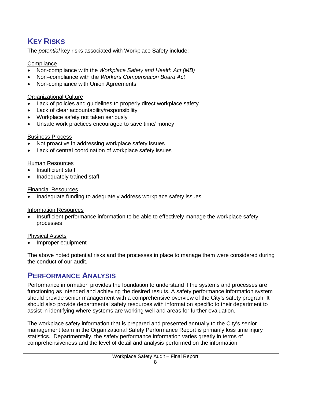# <span id="page-8-0"></span>**KEY RISKS**

The *potential* key risks associated with Workplace Safety include:

#### **Compliance**

- Non-compliance with the *Workplace Safety and Health Act (MB)*
- Non–compliance with the *Workers Compensation Board Act*
- Non-compliance with Union Agreements

#### Organizational Culture

- Lack of policies and guidelines to properly direct workplace safety
- Lack of clear accountability/responsibility
- Workplace safety not taken seriously
- Unsafe work practices encouraged to save time/ money

#### Business Process

- Not proactive in addressing workplace safety issues
- Lack of central coordination of workplace safety issues

#### Human Resources

- Insufficient staff
- Inadequately trained staff

#### Financial Resources

• Inadequate funding to adequately address workplace safety issues

#### Information Resources

• Insufficient performance information to be able to effectively manage the workplace safety processes

#### Physical Assets

• Improper equipment

The above noted potential risks and the processes in place to manage them were considered during the conduct of our audit.

# <span id="page-8-1"></span>**PERFORMANCE ANALYSIS**

Performance information provides the foundation to understand if the systems and processes are functioning as intended and achieving the desired results. A safety performance information system should provide senior management with a comprehensive overview of the City's safety program. It should also provide departmental safety resources with information specific to their department to assist in identifying where systems are working well and areas for further evaluation.

The workplace safety information that is prepared and presented annually to the City's senior management team in the Organizational Safety Performance Report is primarily loss time injury statistics. Departmentally, the safety performance information varies greatly in terms of comprehensiveness and the level of detail and analysis performed on the information.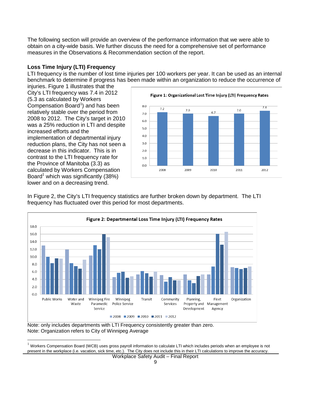The following section will provide an overview of the performance information that we were able to obtain on a city-wide basis. We further discuss the need for a comprehensive set of performance measures in the Observations & Recommendation section of the report.

#### **Loss Time Injury (LTI) Frequency**

LTI frequency is the number of lost time injuries per 100 workers per year. It can be used as an internal benchmark to determine if progress has been made within an organization to reduce the occurrence of

injuries. Figure 1 illustrates that the City's LTI frequency was 7.4 in 2012 (5.3 as calculated by Workers Compensation Board $<sup>1</sup>$  $<sup>1</sup>$  $<sup>1</sup>$ ) and has been</sup> relatively stable over the period from 2008 to 2012. The City's target in 2010 was a 25% reduction in LTI and despite increased efforts and the implementation of departmental injury reduction plans, the City has not seen a decrease in this indicator. This is in contrast to the LTI frequency rate for the Province of Manitoba (3.3) as calculated by Workers Compensation Board<sup>1</sup> which was significantly  $(38%)$ lower and on a decreasing trend.



In Figure 2, the City's LTI frequency statistics are further broken down by department. The LTI frequency has fluctuated over this period for most departments.



Note: only includes departments with LTI Frequency consistently greater than zero. Note: Organization refers to City of Winnipeg Average

<span id="page-9-0"></span> <sup>1</sup> Workers Compensation Board (WCB) uses gross payroll information to calculate LTI which includes periods when an employee is not present in the workplace (i.e. vacation, sick time, etc.). The City does not include this in their LTI calculations to improve the accuracy.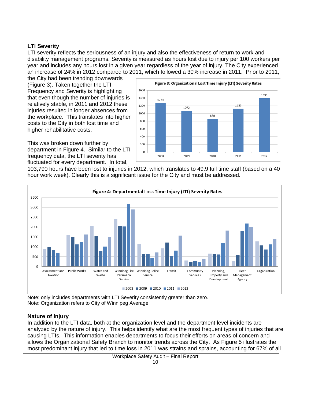#### **LTI Severity**

LTI severity reflects the seriousness of an injury and also the effectiveness of return to work and disability management programs. Severity is measured as hours lost due to injury per 100 workers per year and includes any hours lost in a given year regardless of the year of injury. The City experienced an increase of 24% in 2012 compared to 2011, which followed a 30% increase in 2011. Prior to 2011,

the City had been trending downwards (Figure 3). Taken together the LTI Frequency and Severity is highlighting that even though the number of injuries is relatively stable, in 2011 and 2012 these injuries resulted in longer absences from the workplace. This translates into higher costs to the City in both lost time and higher rehabilitative costs.

This was broken down further by department in Figure 4. Similar to the LTI frequency data, the LTI severity has fluctuated for every department. In total,



103,790 hours have been lost to injuries in 2012, which translates to 49.9 full time staff (based on a 40 hour work week). Clearly this is a significant issue for the City and must be addressed.



Note: only includes departments with LTI Severity consistently greater than zero. Note: Organization refers to City of Winnipeg Average

#### **Nature of Injury**

In addition to the LTI data, both at the organization level and the department level incidents are analyzed by the nature of injury. This helps identify what are the most frequent types of injuries that are causing LTIs. This information enables departments to focus their efforts on areas of concern and allows the Organizational Safety Branch to monitor trends across the City. As Figure 5 illustrates the most predominant injury that led to time loss in 2011 was strains and sprains, accounting for 67% of all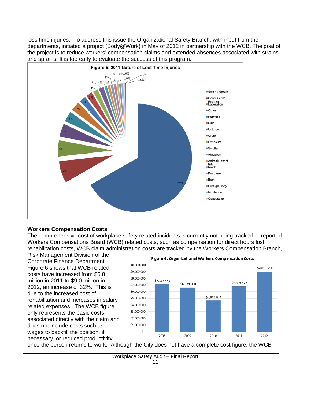loss time injuries. To address this issue the Organizational Safety Branch, with input from the departments, initiated a project (Body@Work) in May of 2012 in partnership with the WCB. The goal of the project is to reduce workers' compensation claims and extended absences associated with strains and sprains. It is too early to evaluate the success of this program.



#### **Workers Compensation Costs**

The comprehensive cost of workplace safety related incidents is currently not being tracked or reported. Workers Compensations Board (WCB) related costs, such as compensation for direct hours lost, rehabilitation costs, WCB claim administration costs are tracked by the Workers Compensation Branch,

Risk Management Division of the Corporate Finance Department. Figure 6 shows that WCB related costs have increased from \$6.8 million in 2011 to \$9.0 million in 2012, an increase of 32%. This is due to the increased cost of rehabilitation and increases in salary related expenses. The WCB figure only represents the basic costs associated directly with the claim and does not include costs such as wages to backfill the position, if necessary, or reduced productivity



once the person returns to work. Although the City does not have a complete cost figure, the WCB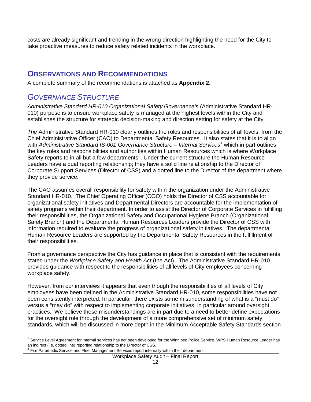costs are already significant and trending in the wrong direction highlighting the need for the City to take proactive measures to reduce safety related incidents in the workplace.

### <span id="page-12-0"></span>**OBSERVATIONS AND RECOMMENDATIONS**

<span id="page-12-1"></span>A complete summary of the recommendations is attached as **Appendix 2.**

# *GOVERNANCE STRUCTURE*

*Administrative Standard HR-010 Organizational Safety Governance's* (Administrative Standard HR-010) purpose is to ensure workplace safety is managed at the highest levels within the City and establishes the structure for strategic decision-making and direction setting for safety at the City.

*The* Administrative Standard HR-010 clearly outlines the roles and responsibilities of all levels, from the Chief Administrative Officer (CAO) to Departmental Safety Resources. It also states that it is to align with *Administrative Standard IS-001 Governance Structure – Internal Services[1](#page-9-0)* which in part outlines the key roles and responsibilities and authorities within Human Resources which is where Workplace Safety reports to in all but a few departments<sup>[2](#page-12-2)</sup>. Under the current structure the Human Resource Leaders have a dual reporting relationship; they have a solid line relationship to the Director of Corporate Support Services (Director of CSS) and a dotted line to the Director of the department where they provide service.

The CAO assumes overall responsibility for safety within the organization under the Administrative Standard HR-010. The Chief Operating Officer (COO) holds the Director of CSS accountable for organizational safety initiatives and Departmental Directors are accountable for the implementation of safety programs within their department. In order to assist the Director of Corporate Services in fulfilling their responsibilities, the Organizational Safety and Occupational Hygiene Branch (Organizational Safety Branch) and the Departmental Human Resources Leaders provide the Director of CSS with information required to evaluate the progress of organizational safety initiatives. The departmental Human Resource Leaders are supported by the Departmental Safety Resources in the fulfillment of their responsibilities.

From a governance perspective the City has guidance in place that is consistent with the requirements stated under the *Workplace Safety and Health Act* (the Act). The Administrative Standard HR-010 provides guidance with respect to the responsibilities of all levels of City employees concerning workplace safety.

However, from our interviews it appears that even though the responsibilities of all levels of City employees have been defined in the Administrative Standard HR-010, some responsibilities have not been consistently interpreted. In particular, there exists some misunderstanding of what is a "must do" versus a "may do" with respect to implementing corporate initiatives, in particular around oversight practices. We believe these misunderstandings are in part due to a need to better define expectations for the oversight role through the development of a more comprehensive set of minimum safety standards, which will be discussed in more depth in the Minimum Acceptable Safety Standards section

Service Level Agreement for internal services has not been developed for the Winnipeg Police Service. WPS Human Resource Leader has an indirect (i.e. dotted line) reporting relationship to the Director of CSS.<br><sup>2</sup> Fire Paramedic Service and Fleet Management Services report internally within their department

<span id="page-12-2"></span>

Workplace Safety Audit – Final Report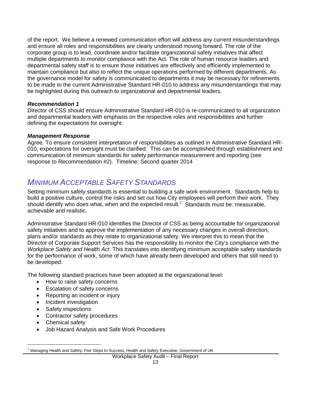of the report. We believe a renewed communication effort will address any current misunderstandings and ensure all roles and responsibilities are clearly understood moving forward. The role of the corporate group is to lead, coordinate and/or facilitate organizational safety initiatives that affect multiple departments to monitor compliance with the Act*.* The role of human resource leaders and departmental safety staff is to ensure those initiatives are effectively and efficiently implemented to maintain compliance but also to reflect the unique operations performed by different departments. As the governance model for safety is communicated to departments it may be necessary for refinements to be made to the current Administrative Standard HR-010 to address any misunderstandings that may be highlighted during this outreach to organizational and departmental leaders.

#### *Recommendation 1*

Director of CSS should ensure Administrative Standard HR-010 is re-communicated to all organization and departmental leaders with emphasis on the respective roles and responsibilities and further defining the expectations for oversight.

#### *Management Response*

Agree. To ensure consistent interpretation of responsibilities as outlined in Administrative Standard HR-010, expectations for oversight must be clarified. This can be accomplished through establishment and communication of minimum standards for safety performance measurement and reporting (see response to Recommendation #2). Timeline: Second quarter 2014

# <span id="page-13-0"></span>*MINIMUM ACCEPTABLE SAFETY STANDARDS*

Setting minimum safety standards is essential to building a safe work environment. Standards help to build a positive culture, control the risks and set out how City employees will perform their work. They should identify who does what, when and the expected result.<sup>[1](#page-12-2)</sup> Standards must be: measurable, achievable and realistic.

Administrative Standard HR-010 identifies the Director of CSS as being accountable for organizational safety initiatives and to approve the implementation of any necessary changes in overall direction, plans and/or standards as they relate to organizational safety. We interpret this to mean that the Director of Corporate Support Services has the responsibility to monitor the City's compliance with the *Workplace Safety and Health Act*. This translates into identifying minimum acceptable safety standards for the performance of work, some of which have already been developed and others that still need to be developed.

The following standard practices have been adopted at the organizational level:

- How to raise safety concerns
- Escalation of safety concerns
- Reporting an incident or injury
- Incident investigation
- Safety inspections
- Contractor safety procedures
- Chemical safety
- Job Hazard Analysis and Safe Work Procedures

<span id="page-13-1"></span> <sup>1</sup> Managing Health and Safety: Five Steps to Success, Health and Safety Executive, Government of UK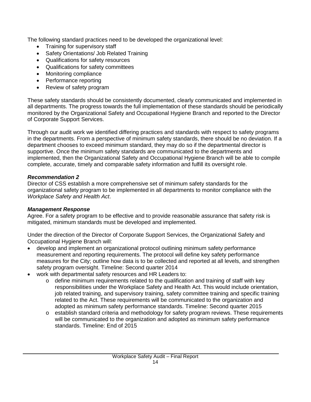The following standard practices need to be developed the organizational level:

- Training for supervisory staff
- Safety Orientations/ Job Related Training
- Qualifications for safety resources
- Qualifications for safety committees
- Monitoring compliance
- Performance reporting
- Review of safety program

These safety standards should be consistently documented, clearly communicated and implemented in all departments. The progress towards the full implementation of these standards should be periodically monitored by the Organizational Safety and Occupational Hygiene Branch and reported to the Director of Corporate Support Services.

Through our audit work we identified differing practices and standards with respect to safety programs in the departments. From a perspective of minimum safety standards, there should be no deviation. If a department chooses to exceed minimum standard, they may do so if the departmental director is supportive. Once the minimum safety standards are communicated to the departments and implemented, then the Organizational Safety and Occupational Hygiene Branch will be able to compile complete, accurate, timely and comparable safety information and fulfill its oversight role.

#### *Recommendation 2*

Director of CSS establish a more comprehensive set of minimum safety standards for the organizational safety program to be implemented in all departments to monitor compliance with the *Workplace Safety and Health Act*.

#### *Management Response*

Agree. For a safety program to be effective and to provide reasonable assurance that safety risk is mitigated, minimum standards must be developed and implemented.

Under the direction of the Director of Corporate Support Services, the Organizational Safety and Occupational Hygiene Branch will:

- develop and implement an organizational protocol outlining minimum safety performance measurement and reporting requirements. The protocol will define key safety performance measures for the City; outline how data is to be collected and reported at all levels, and strengthen safety program oversight. Timeline: Second quarter 2014
- work with departmental safety resources and HR Leaders to:
	- $\circ$  define minimum requirements related to the qualification and training of staff with key responsibilities under the Workplace Safety and Health Act. This would include orientation, job related training, and supervisory training, safety committee training and specific training related to the Act. These requirements will be communicated to the organization and adopted as minimum safety performance standards. Timeline: Second quarter 2015
	- o establish standard criteria and methodology for safety program reviews. These requirements will be communicated to the organization and adopted as minimum safety performance standards. Timeline: End of 2015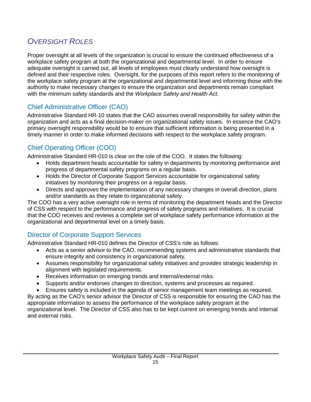# <span id="page-15-0"></span>*OVERSIGHT ROLES*

Proper oversight at all levels of the organization is crucial to ensure the continued effectiveness of a workplace safety program at both the organizational and departmental level. In order to ensure adequate oversight is carried out, all levels of employees must clearly understand how oversight is defined and their respective roles. Oversight, for the purposes of this report refers to the monitoring of the workplace safety program at the organizational and departmental level and informing those with the authority to make necessary changes to ensure the organization and departments remain compliant with the minimum safety standards and the *Workplace Safety and Health Act*.

# Chief Administrative Officer (CAO)

Administrative Standard HR-10 states that the CAO assumes overall responsibility for safety within the organization and acts as a final decision-maker on organizational safety issues. In essence the CAO's primary oversight responsibility would be to ensure that sufficient information is being presented in a timely manner in order to make informed decisions with respect to the workplace safety program.

# Chief Operating Officer (COO)

Administrative Standard HR-010 is clear on the role of the COO. It states the following:

- Holds department heads accountable for safety in departments by monitoring performance and progress of departmental safety programs on a regular basis.
- Holds the Director of Corporate Support Services accountable for organizational safety initiatives by monitoring their progress on a regular basis.
- Directs and approves the implementation of any necessary changes in overall direction, plans and/or standards as they relate to organizational safety.

The COO has a very active oversight role in terms of monitoring the department heads and the Director of CSS with respect to the performance and progress of safety programs and initiatives. It is crucial that the COO receives and reviews a complete set of workplace safety performance information at the organizational and departmental level on a timely basis.

# Director of Corporate Support Services

Administrative Standard HR-010 defines the Director of CSS's role as follows:

- Acts as a senior advisor to the CAO, recommending systems and administrative standards that ensure integrity and consistency in organizational safety.
- Assumes responsibility for organizational safety initiatives and provides strategic leadership in alignment with legislated requirements.
- Receives information on emerging trends and internal/external risks.
- Supports and/or endorses changes to direction, systems and processes as required.
- Ensures safety is included in the agenda of senior management team meetings as required.

By acting as the CAO's senior advisor the Director of CSS is responsible for ensuring the CAO has the appropriate information to assess the performance of the workplace safety program at the organizational level. The Director of CSS also has to be kept current on emerging trends and internal and external risks.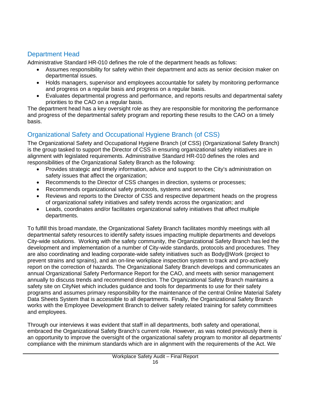# Department Head

Administrative Standard HR-010 defines the role of the department heads as follows:

- Assumes responsibility for safety within their department and acts as senior decision maker on departmental issues.
- Holds managers, supervisor and employees accountable for safety by monitoring performance and progress on a regular basis and progress on a regular basis.
- Evaluates departmental progress and performance, and reports results and departmental safety priorities to the CAO on a regular basis.

The department head has a key oversight role as they are responsible for monitoring the performance and progress of the departmental safety program and reporting these results to the CAO on a timely basis.

# Organizational Safety and Occupational Hygiene Branch (of CSS)

The Organizational Safety and Occupational Hygiene Branch (of CSS) (Organizational Safety Branch) is the group tasked to support the Director of CSS in ensuring organizational safety initiatives are in alignment with legislated requirements. Administrative Standard HR-010 defines the roles and responsibilities of the Organizational Safety Branch as the following:

- Provides strategic and timely information, advice and support to the City's administration on safety issues that affect the organization;
- Recommends to the Director of CSS changes in direction, systems or processes;
- Recommends organizational safety protocols, systems and services;
- Reviews and reports to the Director of CSS and respective department heads on the progress of organizational safety initiatives and safety trends across the organization; and
- Leads, coordinates and/or facilitates organizational safety initiatives that affect multiple departments.

To fulfill this broad mandate, the Organizational Safety Branch facilitates monthly meetings with all departmental safety resources to identify safety issues impacting multiple departments and develops City-wide solutions. Working with the safety community, the Organizational Safety Branch has led the development and implementation of a number of City-wide standards, protocols and procedures. They are also coordinating and leading corporate-wide safety initiatives such as Body@Work (project to prevent strains and sprains), and an on-line workplace inspection system to track and pro-actively report on the correction of hazards. The Organizational Safety Branch develops and communicates an annual Organizational Safety Performance Report for the CAO, and meets with senior management annually to discuss trends and recommend direction. The Organizational Safety Branch maintains a safety site on CityNet which includes guidance and tools for departments to use for their safety programs and assumes primary responsibility for the maintenance of the central Online Material Safety Data Sheets System that is accessible to all departments. Finally, the Organizational Safety Branch works with the Employee Development Branch to deliver safety related training for safety committees and employees.

Through our interviews it was evident that staff in all departments, both safety and operational, embraced the Organizational Safety Branch's current role. However, as was noted previously there is an opportunity to improve the oversight of the organizational safety program to monitor all departments' compliance with the minimum standards which are in alignment with the requirements of the Act. We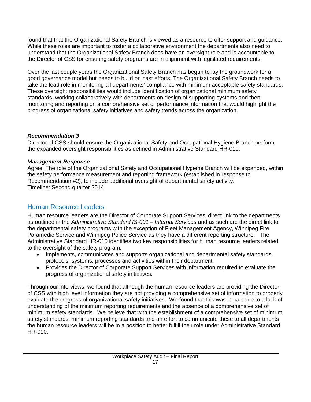found that that the Organizational Safety Branch is viewed as a resource to offer support and guidance. While these roles are important to foster a collaborative environment the departments also need to understand that the Organizational Safety Branch does have an oversight role and is accountable to the Director of CSS for ensuring safety programs are in alignment with legislated requirements.

Over the last couple years the Organizational Safety Branch has begun to lay the groundwork for a good governance model but needs to build on past efforts. The Organizational Safety Branch needs to take the lead role in monitoring all departments' compliance with minimum acceptable safety standards. These oversight responsibilities would include identification of organizational minimum safety standards, working collaboratively with departments on design of supporting systems and then monitoring and reporting on a comprehensive set of performance information that would highlight the progress of organizational safety initiatives and safety trends across the organization.

#### *Recommendation 3*

Director of CSS should ensure the Organizational Safety and Occupational Hygiene Branch perform the expanded oversight responsibilities as defined in Administrative Standard HR-010.

#### *Management Response*

Agree. The role of the Organizational Safety and Occupational Hygiene Branch will be expanded, within the safety performance measurement and reporting framework (established in response to Recommendation #2), to include additional oversight of departmental safety activity. Timeline: Second quarter 2014

# Human Resource Leaders

Human resource leaders are the Director of Corporate Support Services' direct link to the departments as outlined in the *Administrative Standard IS-001 – Internal Services* and as such are the direct link to the departmental safety programs with the exception of Fleet Management Agency, Winnipeg Fire Paramedic Service and Winnipeg Police Service as they have a different reporting structure. The Administrative Standard HR-010 identifies two key responsibilities for human resource leaders related to the oversight of the safety program:

- Implements, communicates and supports organizational and departmental safety standards, protocols, systems, processes and activities within their department.
- Provides the Director of Corporate Support Services with information required to evaluate the progress of organizational safety initiatives.

Through our interviews, we found that although the human resource leaders are providing the Director of CSS with high level information they are not providing a comprehensive set of information to properly evaluate the progress of organizational safety initiatives. We found that this was in part due to a lack of understanding of the minimum reporting requirements and the absence of a comprehensive set of minimum safety standards. We believe that with the establishment of a comprehensive set of minimum safety standards, minimum reporting standards and an effort to communicate these to all departments the human resource leaders will be in a position to better fulfill their role under Administrative Standard HR-010.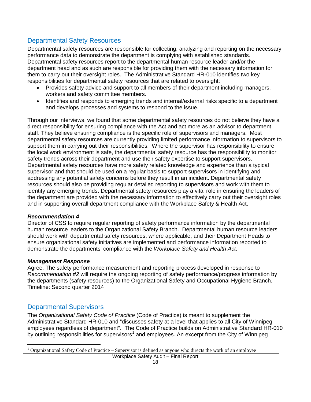### Departmental Safety Resources

Departmental safety resources are responsible for collecting, analyzing and reporting on the necessary performance data to demonstrate the department is complying with established standards. Departmental safety resources report to the departmental human resource leader and/or the department head and as such are responsible for providing them with the necessary information for them to carry out their oversight roles. The Administrative Standard HR-010 identifies two key responsibilities for departmental safety resources that are related to oversight:

- Provides safety advice and support to all members of their department including managers, workers and safety committee members.
- Identifies and responds to emerging trends and internal/external risks specific to a department and develops processes and systems to respond to the issue.

Through our interviews, we found that some departmental safety resources do not believe they have a direct responsibility for ensuring compliance with the Act and act more as an advisor to department staff. They believe ensuring compliance is the specific role of supervisors and managers. Most departmental safety resources are currently providing limited performance information to supervisors to support them in carrying out their responsibilities. Where the supervisor has responsibility to ensure the local work environment is safe, the departmental safety resource has the responsibility to monitor safety trends across their department and use their safety expertise to support supervisors. Departmental safety resources have more safety related knowledge and experience than a typical supervisor and that should be used on a regular basis to support supervisors in identifying and addressing any potential safety concerns before they result in an incident. Departmental safety resources should also be providing regular detailed reporting to supervisors and work with them to identify any emerging trends. Departmental safety resources play a vital role in ensuring the leaders of the department are provided with the necessary information to effectively carry out their oversight roles and in supporting overall department compliance with the Workplace Safety & Health Act.

#### *Recommendation 4*

Director of CSS to require regular reporting of safety performance information by the departmental human resource leaders to the Organizational Safety Branch. Departmental human resource leaders should work with departmental safety resources, where applicable, and their Department Heads to ensure organizational safety initiatives are implemented and performance information reported to demonstrate the departments' compliance with the *Workplace Safety and Health Act*.

#### *Management Response*

Agree. The safety performance measurement and reporting process developed in response to *Recommendation #2* will require the ongoing reporting of safety performance/progress information by the departments (safety resources) to the Organizational Safety and Occupational Hygiene Branch. Timeline: Second quarter 2014

### Departmental Supervisors

The *Organizational Safety Code of Practice* (Code of Practice) is meant to supplement the Administrative Standard HR-010 and "discusses safety at a level that applies to all City of Winnipeg employees regardless of department". The Code of Practice builds on Administrative Standard HR-010 by outlining responsibilities for supervisors<sup>[1](#page-13-1)</sup> and employees. An excerpt from the City of Winnipeg

<span id="page-18-0"></span> <sup>1</sup> Organizational Safety Code of Practice – Supervisor is defined as anyone who directs the work of an employee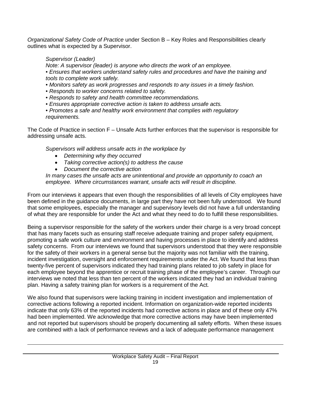*Organizational Safety Code of Practice* under Section B – Key Roles and Responsibilities clearly outlines what is expected by a Supervisor.

#### *Supervisor (Leader)*

 $\overline{a}$ 

*Note: A supervisor (leader) is anyone who directs the work of an employee.*

*• Ensures that workers understand safety rules and procedures and have the training and tools to complete work safely.*

- *Monitors safety as work progresses and responds to any issues in a timely fashion.*
- *Responds to worker concerns related to safety.*
- *Responds to safety and health committee recommendations.*
- *Ensures appropriate corrective action is taken to address unsafe acts.*

*• Promotes a safe and healthy work environment that complies with regulatory requirements.* 

The Code of Practice in section F – Unsafe Acts further enforces that the supervisor is responsible for addressing unsafe acts.

*Supervisors will address unsafe acts in the workplace by*

- *Determining why they occurred*
- *Taking corrective action(s) to address the cause*
- *Document the corrective action*

*In many cases the unsafe acts are unintentional and provide an opportunity to coach an employee. Where circumstances warrant, unsafe acts will result in discipline.*

From our interviews it appears that even though the responsibilities of all levels of City employees have been defined in the guidance documents, in large part they have not been fully understood. We found that some employees, especially the manager and supervisory levels did not have a full understanding of what they are responsible for under the Act and what they need to do to fulfill these responsibilities.

Being a supervisor responsible for the safety of the workers under their charge is a very broad concept that has many facets such as ensuring staff receive adequate training and proper safety equipment, promoting a safe work culture and environment and having processes in place to identify and address safety concerns. From our interviews we found that supervisors understood that they were responsible for the safety of their workers in a general sense but the majority was not familiar with the training, incident investigation, oversight and enforcement requirements under the Act. We found that less than twenty-five percent of supervisors indicated they had training plans related to job safety in place for each employee beyond the apprentice or recruit training phase of the employee's career. Through our interviews we noted that less than ten percent of the workers indicated they had an individual training plan. Having a safety training plan for workers is a requirement of the Act*.*

We also found that supervisors were lacking training in incident investigation and implementation of corrective actions following a reported incident. Information on organization-wide reported incidents indicate that only 63% of the reported incidents had corrective actions in place and of these only 47% had been implemented. We acknowledge that more corrective actions may have been implemented and not reported but supervisors should be properly documenting all safety efforts. When these issues are combined with a lack of performance reviews and a lack of adequate performance management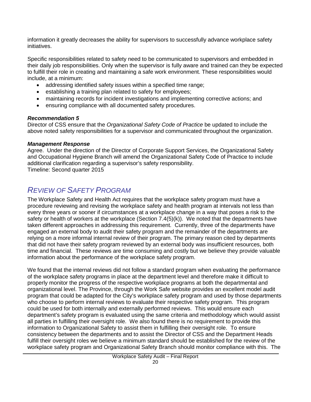information it greatly decreases the ability for supervisors to successfully advance workplace safety initiatives.

Specific responsibilities related to safety need to be communicated to supervisors and embedded in their daily job responsibilities. Only when the supervisor is fully aware and trained can they be expected to fulfill their role in creating and maintaining a safe work environment. These responsibilities would include, at a minimum:

- addressing identified safety issues within a specified time range;
- establishing a training plan related to safety for employees;
- maintaining records for incident investigations and implementing corrective actions; and
- ensuring compliance with all documented safety procedures.

#### *Recommendation 5*

Director of CSS ensure that the *Organizational Safety Code of Practice* be updated to include the above noted safety responsibilities for a supervisor and communicated throughout the organization.

#### *Management Response*

Agree. Under the direction of the Director of Corporate Support Services, the Organizational Safety and Occupational Hygiene Branch will amend the Organizational Safety Code of Practice to include additional clarification regarding a supervisor's safety responsibility. Timeline: Second quarter 2015

# <span id="page-20-0"></span>*REVIEW OF SAFETY PROGRAM*

The Workplace Safety and Health Act requires that the workplace safety program must have a procedure reviewing and revising the workplace safety and health program at intervals not less than every three years or sooner if circumstances at a workplace change in a way that poses a risk to the safety or health of workers at the workplace (Section 7.4(5)(k)). We noted that the departments have taken different approaches in addressing this requirement. Currently, three of the departments have engaged an external body to audit their safety program and the remainder of the departments are relying on a more informal internal review of their program. The primary reason cited by departments that did not have their safety program reviewed by an external body was insufficient resources, both time and financial. These reviews are time consuming and costly but we believe they provide valuable information about the performance of the workplace safety program.

We found that the internal reviews did not follow a standard program when evaluating the performance of the workplace safety programs in place at the department level and therefore make it difficult to properly monitor the progress of the respective workplace programs at both the departmental and organizational level. The Province, through the Work Safe website provides an excellent model audit program that could be adapted for the City's workplace safety program and used by those departments who choose to perform internal reviews to evaluate their respective safety program. This program could be used for both internally and externally performed reviews. This would ensure each department's safety program is evaluated using the same criteria and methodology which would assist all parties in fulfilling their oversight role. We also found there is no requirement to provide this information to Organizational Safety to assist them in fulfilling their oversight role. To ensure consistency between the departments and to assist the Director of CSS and the Department Heads fulfill their oversight roles we believe a minimum standard should be established for the review of the workplace safety program and Organizational Safety Branch should monitor compliance with this. The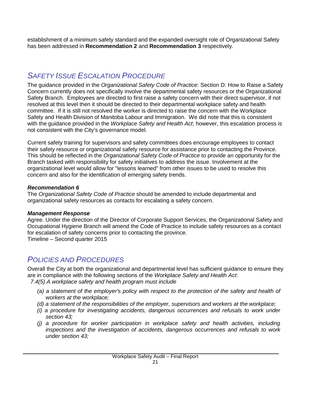<span id="page-21-0"></span>establishment of a minimum safety standard and the expanded oversight role of Organizational Safety has been addressed in **Recommendation 2** and **Recommendation 3** respectively.

# *SAFETY ISSUE ESCALATION PROCEDURE*

The guidance provided in the *Organizational Safety Code of Practice*: Section D: How to Raise a Safety Concern currently does not specifically involve the departmental safety resources or the Organizational Safety Branch. Employees are directed to first raise a safety concern with their direct supervisor, if not resolved at this level then it should be directed to their departmental workplace safety and health committee. If it is still not resolved the worker is directed to raise the concern with the Workplace Safety and Health Division of Manitoba Labour and Immigration. We did note that this is consistent with the guidance provided in the *Workplace Safety and Health Act*; however, this escalation process is not consistent with the City's governance model.

Current safety training for supervisors and safety committees does encourage employees to contact their safety resource or organizational safety resource for assistance prior to contacting the Province. This should be reflected in the *Organizational Safety Code of Practice* to provide an opportunity for the Branch tasked with responsibility for safety initiatives to address the issue. Involvement at the organizational level would allow for "lessons learned" from other issues to be used to resolve this concern and also for the identification of emerging safety trends.

#### *Recommendation 6*

The *Organizational Safety Code of Practice* should be amended to include departmental and organizational safety resources as contacts for escalating a safety concern.

#### *Management Response*

Agree. Under the direction of the Director of Corporate Support Services, the Organizational Safety and Occupational Hygiene Branch will amend the Code of Practice to include safety resources as a contact for escalation of safety concerns prior to contacting the province. Timeline – Second quarter 2015

# <span id="page-21-1"></span>*POLICIES AND PROCEDURES*

Overall the City at both the organizational and departmental level has sufficient guidance to ensure they are in compliance with the following sections of the *Workplace Safety and Health Act*: *[7.4\(5\)](http://web2.gov.mb.ca/laws/statutes/ccsm/w210f.php#7.4(5)) A workplace safety and health program must include* 

- *(a) a statement of the employer's policy with respect to the protection of the safety and health of workers at the workplace;*
- *(d) a statement of the responsibilities of the employer, supervisors and workers at the workplace;*
- *(i) a procedure for investigating accidents, dangerous occurrences and refusals to work under section 43;*
- *(j) a procedure for worker participation in workplace safety and health activities, including inspections and the investigation of accidents, dangerous occurrences and refusals to work under section 43;*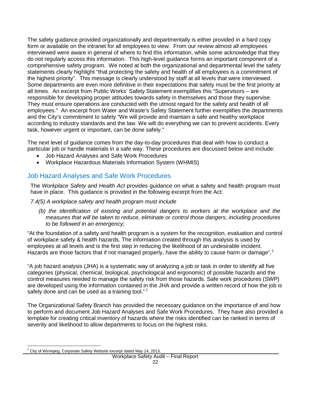The safety guidance provided organizationally and departmentally is either provided in a hard copy form or available on the intranet for all employees to view. From our review almost all employees interviewed were aware in general of where to find this information, while some acknowledge that they do not regularly access this information. This high-level guidance forms an important component of a comprehensive safety program. We noted at both the organizational and departmental level the safety statements clearly highlight "that protecting the safety and health of all employees is a commitment of the highest priority". This message is clearly understood by staff at all levels that were interviewed. Some departments are even more definitive in their expectations that safety must be the first priority at all times. An excerpt from Public Works' Safety Statement exemplifies this "Supervisors – are responsible for developing proper attitudes towards safety in themselves and those they supervise. They must ensure operations are conducted with the utmost regard for the safety and health of all employees." An excerpt from Water and Waste's Safety Statement further exemplifies the departments and the City's commitment to safety "We will provide and maintain a safe and healthy workplace according to industry standards and the law. We will do everything we can to prevent accidents. Every task, however urgent or important, can be done safely."

The next level of guidance comes from the day-to-day procedures that deal with how to conduct a particular job or handle materials in a safe way. These procedures are discussed below and include:

- Job Hazard Analyses and Safe Work Procedures
- Workplace Hazardous Materials Information System (WHMIS)

### Job Hazard Analyses and Safe Work Procedures

The *Workplace Safety and Health Act* provides guidance on what a safety and health program must have in place. This guidance is provided in the following excerpt from the Act:

#### *[7.4\(5\)](http://web2.gov.mb.ca/laws/statutes/ccsm/w210f.php#7.4(5)) A workplace safety and health program must include*

*(b) the identification of existing and potential dangers to workers at the workplace and the measures that will be taken to reduce, eliminate or control those dangers, including procedures to be followed in an emergency;* 

"At the foundation of a safety and health program is a system for the recognition, evaluation and control of workplace safety & health hazards. The information created through this analysis is used by employees at all levels and is the first step in reducing the likelihood of an undesirable incident. Hazards are those factors that if not managed properly, have the ability to cause harm or damage".<sup>[1](#page-18-0)</sup>

"A job hazard analysis (JHA) is a systematic way of analyzing a job or task in order to identify all five categories (physical, chemical, biological, psychological and ergonomic) of possible hazards and the control measures needed to manage the safety risk from those hazards. Safe work procedures (SWP) are developed using the information contained in the JHA and provide a written record of how the job is safely done and can be used as a training tool." $1$ 

The Organizational Safety Branch has provided the necessary guidance on the importance of and how to perform and document Job Hazard Analyses and Safe Work Procedures. They have also provided a template for creating critical inventory of hazards where the risks identified can be ranked in terms of severity and likelihood to allow departments to focus on the highest risks.

 $1$  City of Winnipeg, Corporate Safety Website excerpt dated May 14, 2013.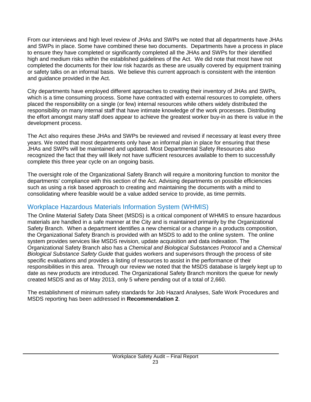From our interviews and high level review of JHAs and SWPs we noted that all departments have JHAs and SWPs in place. Some have combined these two documents. Departments have a process in place to ensure they have completed or significantly completed all the JHAs and SWPs for their identified high and medium risks within the established guidelines of the Act. We did note that most have not completed the documents for their low risk hazards as these are usually covered by equipment training or safety talks on an informal basis. We believe this current approach is consistent with the intention and guidance provided in the Act.

City departments have employed different approaches to creating their inventory of JHAs and SWPs, which is a time consuming process. Some have contracted with external resources to complete, others placed the responsibility on a single (or few) internal resources while others widely distributed the responsibility on many internal staff that have intimate knowledge of the work processes. Distributing the effort amongst many staff does appear to achieve the greatest worker buy-in as there is value in the development process.

The Act also requires these JHAs and SWPs be reviewed and revised if necessary at least every three years. We noted that most departments only have an informal plan in place for ensuring that these JHAs and SWPs will be maintained and updated. Most Departmental Safety Resources also recognized the fact that they will likely not have sufficient resources available to them to successfully complete this three year cycle on an ongoing basis.

The oversight role of the Organizational Safety Branch will require a monitoring function to monitor the departments' compliance with this section of the Act. Advising departments on possible efficiencies such as using a risk based approach to creating and maintaining the documents with a mind to consolidating where feasible would be a value added service to provide, as time permits.

# Workplace Hazardous Materials Information System (WHMIS)

The Online Material Safety Data Sheet (MSDS) is a critical component of WHMIS to ensure hazardous materials are handled in a safe manner at the City and is maintained primarily by the Organizational Safety Branch. When a department identifies a new chemical or a change in a products composition, the Organizational Safety Branch is provided with an MSDS to add to the online system. The online system provides services like MSDS revision, update acquisition and data indexation. The Organizational Safety Branch also has a *Chemical and Biological Substances Protocol* and a *Chemical Biological Substance Safety Guide* that guides workers and supervisors through the process of site specific evaluations and provides a listing of resources to assist in the performance of their responsibilities in this area. Through our review we noted that the MSDS database is largely kept up to date as new products are introduced. The Organizational Safety Branch monitors the queue for newly created MSDS and as of May 2013, only 5 where pending out of a total of 2,660.

The establishment of minimum safety standards for Job Hazard Analyses, Safe Work Procedures and MSDS reporting has been addressed in **Recommendation 2**.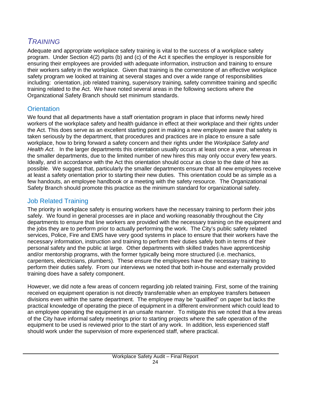# <span id="page-24-0"></span>*TRAINING*

Adequate and appropriate workplace safety training is vital to the success of a workplace safety program. Under Section 4(2) parts (b) and (c) of the Act it specifies the employer is responsible for ensuring their employees are provided with adequate information, instruction and training to ensure their workers safety in the workplace. Given that training is the cornerstone of an effective workplace safety program we looked at training at several stages and over a wide range of responsibilities including: orientation, job related training, supervisory training, safety committee training and specific training related to the Act. We have noted several areas in the following sections where the Organizational Safety Branch should set minimum standards.

### **Orientation**

We found that all departments have a staff orientation program in place that informs newly hired workers of the workplace safety and health guidance in effect at their workplace and their rights under the Act. This does serve as an excellent starting point in making a new employee aware that safety is taken seriously by the department, that procedures and practices are in place to ensure a safe workplace, how to bring forward a safety concern and their rights under the *Workplace Safety and Health Act*. In the larger departments this orientation usually occurs at least once a year, whereas in the smaller departments, due to the limited number of new hires this may only occur every few years. Ideally, and in accordance with the Act this orientation should occur as close to the date of hire as possible. We suggest that, particularly the smaller departments ensure that all new employees receive at least a safety orientation prior to starting their new duties. This orientation could be as simple as a few handouts, an employee handbook or a meeting with the safety resource. The Organizational Safety Branch should promote this practice as the minimum standard for organizational safety.

### Job Related Training

The priority in workplace safety is ensuring workers have the necessary training to perform their jobs safely. We found in general processes are in place and working reasonably throughout the City departments to ensure that line workers are provided with the necessary training on the equipment and the jobs they are to perform prior to actually performing the work. The City's public safety related services, Police, Fire and EMS have very good systems in place to ensure that their workers have the necessary information, instruction and training to perform their duties safely both in terms of their personal safety and the public at large. Other departments with skilled trades have apprenticeship and/or mentorship programs, with the former typically being more structured (i.e. mechanics, carpenters, electricians, plumbers). These ensure the employees have the necessary training to perform their duties safely. From our interviews we noted that both in-house and externally provided training does have a safety component.

However, we did note a few areas of concern regarding job related training. First, some of the training received on equipment operation is not directly transferrable when an employee transfers between divisions even within the same department. The employee may be "qualified" on paper but lacks the practical knowledge of operating the piece of equipment in a different environment which could lead to an employee operating the equipment in an unsafe manner. To mitigate this we noted that a few areas of the City have informal safety meetings prior to starting projects where the safe operation of the equipment to be used is reviewed prior to the start of any work. In addition, less experienced staff should work under the supervision of more experienced staff, where practical.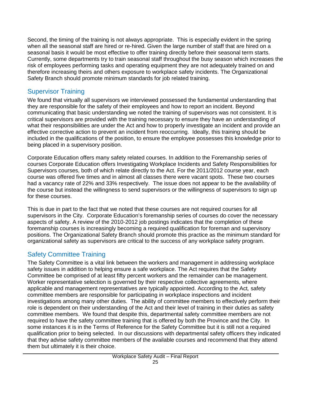Second, the timing of the training is not always appropriate. This is especially evident in the spring when all the seasonal staff are hired or re-hired. Given the large number of staff that are hired on a seasonal basis it would be most effective to offer training directly before their seasonal term starts. Currently, some departments try to train seasonal staff throughout the busy season which increases the risk of employees performing tasks and operating equipment they are not adequately trained on and therefore increasing theirs and others exposure to workplace safety incidents. The Organizational Safety Branch should promote minimum standards for job related training.

# Supervisor Training

We found that virtually all supervisors we interviewed possessed the fundamental understanding that they are responsible for the safety of their employees and how to report an incident. Beyond communicating that basic understanding we noted the training of supervisors was not consistent. It is critical supervisors are provided with the training necessary to ensure they have an understanding of what their responsibilities are under the Act and how to properly investigate an incident and provide an effective corrective action to prevent an incident from reoccurring. Ideally, this training should be included in the qualifications of the position, to ensure the employee possesses this knowledge prior to being placed in a supervisory position.

Corporate Education offers many safety related courses. In addition to the Foremanship series of courses Corporate Education offers Investigating Workplace Incidents and Safety Responsibilities for Supervisors courses, both of which relate directly to the Act. For the 2011/2012 course year, each course was offered five times and in almost all classes there were vacant spots. These two courses had a vacancy rate of 22% and 33% respectively. The issue does not appear to be the availability of the course but instead the willingness to send supervisors or the willingness of supervisors to sign up for these courses.

This is due in part to the fact that we noted that these courses are not required courses for all supervisors in the City. Corporate Education's foremanship series of courses do cover the necessary aspects of safety. A review of the 2010-2012 job postings indicates that the completion of these foremanship courses is increasingly becoming a required qualification for foreman and supervisory positions. The Organizational Safety Branch should promote this practice as the minimum standard for organizational safety as supervisors are critical to the success of any workplace safety program.

# Safety Committee Training

The Safety Committee is a vital link between the workers and management in addressing workplace safety issues in addition to helping ensure a safe workplace. The Act requires that the Safety Committee be comprised of at least fifty percent workers and the remainder can be management. Worker representative selection is governed by their respective collective agreements, where applicable and management representatives are typically appointed. According to the Act*,* safety committee members are responsible for participating in workplace inspections and incident investigations among many other duties. The ability of committee members to effectively perform their role is dependent on their understanding of the Act and their level of training in their duties as safety committee members. We found that despite this, departmental safety committee members are not required to have the safety committee training that is offered by both the Province and the City. In some instances it is in the Terms of Reference for the Safety Committee but it is still not a required qualification prior to being selected. In our discussions with departmental safety officers they indicated that they advise safety committee members of the available courses and recommend that they attend them but ultimately it is their choice.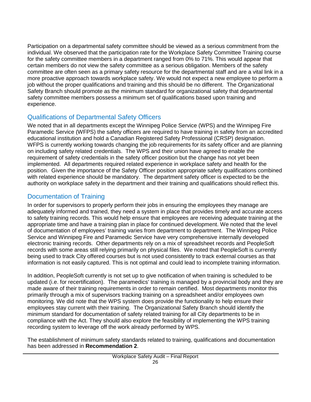Participation on a departmental safety committee should be viewed as a serious commitment from the individual. We observed that the participation rate for the Workplace Safety Committee Training course for the safety committee members in a department ranged from 0% to 71%. This would appear that certain members do not view the safety committee as a serious obligation. Members of the safety committee are often seen as a primary safety resource for the departmental staff and are a vital link in a more proactive approach towards workplace safety. We would not expect a new employee to perform a job without the proper qualifications and training and this should be no different. The Organizational Safety Branch should promote as the minimum standard for organizational safety that departmental safety committee members possess a minimum set of qualifications based upon training and experience.

### Qualifications of Departmental Safety Officers

We noted that in all departments except the Winnipeg Police Service (WPS) and the Winnipeg Fire Paramedic Service (WFPS) the safety officers are required to have training in safety from an accredited educational institution and hold a Canadian Registered Safety Professional (CRSP) designation. WFPS is currently working towards changing the job requirements for its safety officer and are planning on including safety related credentials. The WPS and their union have agreed to enable the requirement of safety credentials in the safety officer position but the change has not yet been implemented. All departments required related experience in workplace safety and health for the position. Given the importance of the Safety Officer position appropriate safety qualifications combined with related experience should be mandatory. The department safety officer is expected to be the authority on workplace safety in the department and their training and qualifications should reflect this.

# Documentation of Training

In order for supervisors to properly perform their jobs in ensuring the employees they manage are adequately informed and trained, they need a system in place that provides timely and accurate access to safety training records. This would help ensure that employees are receiving adequate training at the appropriate time and have a training plan in place for continued development. We noted that the level of documentation of employees' training varies from department to department. The Winnipeg Police Service and Winnipeg Fire and Paramedic Service have very comprehensive internally developed electronic training records. Other departments rely on a mix of spreadsheet records and PeopleSoft records with some areas still relying primarily on physical files. We noted that PeopleSoft is currently being used to track City offered courses but is not used consistently to track external courses as that information is not easily captured. This is not optimal and could lead to incomplete training information.

In addition, PeopleSoft currently is not set up to give notification of when training is scheduled to be updated (i.e. for recertification). The paramedics' training is managed by a provincial body and they are made aware of their training requirements in order to remain certified. Most departments monitor this primarily through a mix of supervisors tracking training on a spreadsheet and/or employees own monitoring. We did note that the WPS system does provide the functionality to help ensure their employees stay current with their training. The Organizational Safety Branch should identify the minimum standard for documentation of safety related training for all City departments to be in compliance with the Act. They should also explore the feasibility of implementing the WPS training recording system to leverage off the work already performed by WPS.

The establishment of minimum safety standards related to training, qualifications and documentation has been addressed in **Recommendation 2**.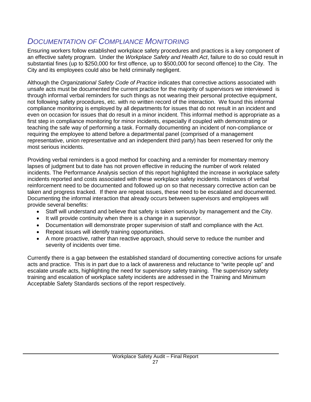# <span id="page-27-0"></span>*DOCUMENTATION OF COMPLIANCE MONITORING*

Ensuring workers follow established workplace safety procedures and practices is a key component of an effective safety program. Under the *Workplace Safety and Health Act*, failure to do so could result in substantial fines (up to \$250,000 for first offence, up to \$500,000 for second offence) to the City. The City and its employees could also be held criminally negligent.

Although the *Organizational Safety Code of Practice* indicates that corrective actions associated with unsafe acts must be documented the current practice for the majority of supervisors we interviewed is through informal verbal reminders for such things as not wearing their personal protective equipment, not following safety procedures, etc. with no written record of the interaction. We found this informal compliance monitoring is employed by all departments for issues that do not result in an incident and even on occasion for issues that do result in a minor incident. This informal method is appropriate as a first step in compliance monitoring for minor incidents, especially if coupled with demonstrating or teaching the safe way of performing a task. Formally documenting an incident of non-compliance or requiring the employee to attend before a departmental panel (comprised of a management representative, union representative and an independent third party) has been reserved for only the most serious incidents.

Providing verbal reminders is a good method for coaching and a reminder for momentary memory lapses of judgment but to date has not proven effective in reducing the number of work related incidents. The Performance Analysis section of this report highlighted the increase in workplace safety incidents reported and costs associated with these workplace safety incidents. Instances of verbal reinforcement need to be documented and followed up on so that necessary corrective action can be taken and progress tracked. If there are repeat issues, these need to be escalated and documented. Documenting the informal interaction that already occurs between supervisors and employees will provide several benefits:

- Staff will understand and believe that safety is taken seriously by management and the City.
- It will provide continuity when there is a change in a supervisor.
- Documentation will demonstrate proper supervision of staff and compliance with the Act.
- Repeat issues will identify training opportunities.
- A more proactive, rather than reactive approach, should serve to reduce the number and severity of incidents over time.

Currently there is a gap between the established standard of documenting corrective actions for unsafe acts and practice. This is in part due to a lack of awareness and reluctance to "write people up" and escalate unsafe acts, highlighting the need for supervisory safety training. The supervisory safety training and escalation of workplace safety incidents are addressed in the Training and Minimum Acceptable Safety Standards sections of the report respectively.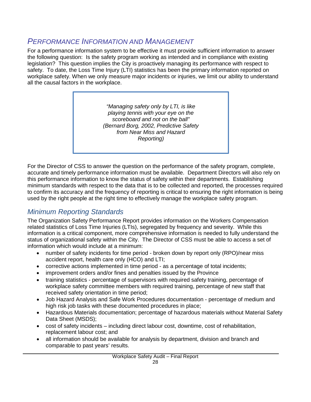# <span id="page-28-0"></span>*PERFORMANCE INFORMATION AND MANAGEMENT*

For a performance information system to be effective it must provide sufficient information to answer the following question: Is the safety program working as intended and in compliance with existing legislation? This question implies the City is proactively managing its performance with respect to safety. To date, the Loss Time Injury (LTI) statistics has been the primary information reported on workplace safety. When we only measure major incidents or injuries, we limit our ability to understand all the causal factors in the workplace.

> *"Managing safety only by LTI, is like playing tennis with your eye on the scoreboard and not on the ball" (Bernard Borg, 2002, Predictive Safety from Near Miss and Hazard Reporting)*

For the Director of CSS to answer the question on the performance of the safety program, complete, accurate and timely performance information must be available. Department Directors will also rely on this performance information to know the status of safety within their departments. Establishing minimum standards with respect to the data that is to be collected and reported, the processes required to confirm its accuracy and the frequency of reporting is critical to ensuring the right information is being used by the right people at the right time to effectively manage the workplace safety program.

# *Minimum Reporting Standards*

The Organization Safety Performance Report provides information on the Workers Compensation related statistics of Loss Time Injuries (LTIs), segregated by frequency and severity. While this information is a critical component, more comprehensive information is needed to fully understand the status of organizational safety within the City. The Director of CSS must be able to access a set of information which would include at a minimum:

- number of safety incidents for time period broken down by report only (RPO)/near miss accident report, health care only (HCO) and LTI;
- corrective actions implemented in time period as a percentage of total incidents;
- improvement orders and/or fines and penalties issued by the Province
- training statistics percentage of supervisors with required safety training, percentage of workplace safety committee members with required training, percentage of new staff that received safety orientation in time period;
- Job Hazard Analysis and Safe Work Procedures documentation percentage of medium and high risk job tasks with these documented procedures in place;
- Hazardous Materials documentation; percentage of hazardous materials without Material Safety Data Sheet (MSDS);
- cost of safety incidents including direct labour cost, downtime, cost of rehabilitation, replacement labour cost; and
- all information should be available for analysis by department, division and branch and comparable to past years' results.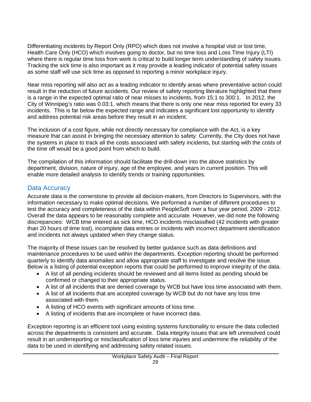Differentiating incidents by Report Only (RPO) which does not involve a hospital visit or lost time, Health Care Only (HCO) which involves going to doctor, but no time loss and Loss Time Injury (LTI) where there is regular time loss from work is critical to build longer term understanding of safety issues. Tracking the sick time is also important as it may provide a leading indicator of potential safety issues as some staff will use sick time as opposed to reporting a minor workplace injury.

Near miss reporting will also act as a leading indicator to identify areas where preventative action could result in the reduction of future accidents. Our review of safety reporting literature highlighted that there is a range in the expected optimal ratio of near misses to incidents, from 15:1 to 300:1. In 2012, the City of Winnipeg's ratio was 0.03:1, which means that there is only one near miss reported for every 33 incidents. This is far below the expected range and indicates a significant lost opportunity to identify and address potential risk areas before they result in an incident.

The inclusion of a cost figure, while not directly necessary for compliance with the Act, is a key measure that can assist in bringing the necessary attention to safety. Currently, the City does not have the systems in place to track all the costs associated with safety incidents, but starting with the costs of the time off would be a good point from which to build.

The compilation of this information should facilitate the drill-down into the above statistics by department, division, nature of injury, age of the employee, and years in current position. This will enable more detailed analysis to identify trends or training opportunities.

### Data Accuracy

Accurate data is the cornerstone to provide all decision-makers, from Directors to Supervisors, with the information necessary to make optimal decisions. We performed a number of different procedures to test the accuracy and completeness of the data within PeopleSoft over a four year period, 2009 - 2012. Overall the data appears to be reasonably complete and accurate. However, we did note the following discrepancies: WCB time entered as sick time, HCO incidents misclassified (42 incidents with greater than 20 hours of time lost), incomplete data entries or incidents with incorrect department identification and incidents not always updated when they change status.

The majority of these issues can be resolved by better guidance such as data definitions and maintenance procedures to be used within the departments. Exception reporting should be performed quarterly to identify data anomalies and allow appropriate staff to investigate and resolve the issue. Below is a listing of potential exception reports that could be performed to improve integrity of the data.

- A list of all pending incidents should be reviewed and all items listed as pending should be confirmed or changed to their appropriate status.
- A list of all incidents that are denied coverage by WCB but have loss time associated with them.
- A list of all incidents that are accepted coverage by WCB but do not have any loss time associated with them.
- A listing of HCO events with significant amounts of loss time.
- A listing of incidents that are incomplete or have incorrect data.

Exception reporting is an efficient tool using existing systems functionality to ensure the data collected across the departments is consistent and accurate. Data integrity issues that are left unresolved could result in an underreporting or misclassification of loss time injuries and undermine the reliability of the data to be used in identifying and addressing safety related issues.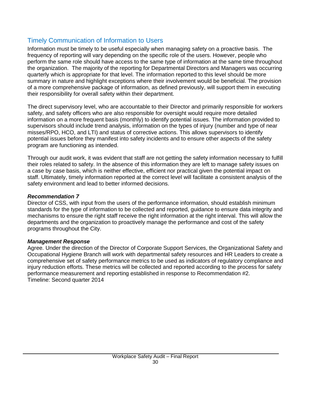### Timely Communication of Information to Users

Information must be timely to be useful especially when managing safety on a proactive basis. The frequency of reporting will vary depending on the specific role of the users. However, people who perform the same role should have access to the same type of information at the same time throughout the organization. The majority of the reporting for Departmental Directors and Managers was occurring quarterly which is appropriate for that level. The information reported to this level should be more summary in nature and highlight exceptions where their involvement would be beneficial. The provision of a more comprehensive package of information, as defined previously, will support them in executing their responsibility for overall safety within their department.

The direct supervisory level, who are accountable to their Director and primarily responsible for workers safety, and safety officers who are also responsible for oversight would require more detailed information on a more frequent basis (monthly) to identify potential issues. The information provided to supervisors should include trend analysis, information on the types of injury (number and type of near misses/RPO, HCO, and LTI) and status of corrective actions. This allows supervisors to identify potential issues before they manifest into safety incidents and to ensure other aspects of the safety program are functioning as intended.

Through our audit work, it was evident that staff are not getting the safety information necessary to fulfill their roles related to safety. In the absence of this information they are left to manage safety issues on a case by case basis, which is neither effective, efficient nor practical given the potential impact on staff. Ultimately, timely information reported at the correct level will facilitate a consistent analysis of the safety environment and lead to better informed decisions.

#### *Recommendation 7*

Director of CSS, with input from the users of the performance information, should establish minimum standards for the type of information to be collected and reported, guidance to ensure data integrity and mechanisms to ensure the right staff receive the right information at the right interval. This will allow the departments and the organization to proactively manage the performance and cost of the safety programs throughout the City.

#### *Management Response*

Agree. Under the direction of the Director of Corporate Support Services, the Organizational Safety and Occupational Hygiene Branch will work with departmental safety resources and HR Leaders to create a comprehensive set of safety performance metrics to be used as indicators of regulatory compliance and injury reduction efforts. These metrics will be collected and reported according to the process for safety performance measurement and reporting established in response to Recommendation #2. Timeline: Second quarter 2014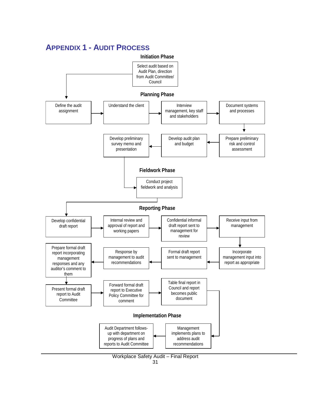

### <span id="page-31-0"></span>**APPENDIX 1 - AUDIT PROCESS**